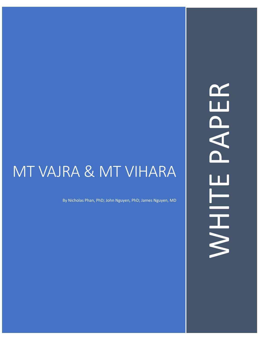## MT VAJRA & MT VIHARA

By Nicholas Phan, PhD; John Nguyen, PhD; James Nguyen, MD

WHITE PAPERAPER HIFE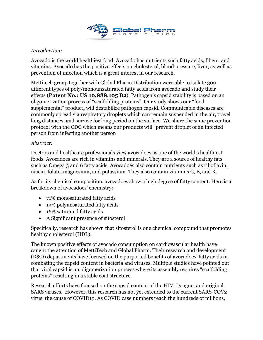

## *Introduction:*

Avocado is the world healthiest food. Avocado has nutrients such fatty acids, fibers, and vitamins. Avocado has the positive effects on cholesterol, blood pressure, liver, as well as prevention of infection which is a great interest in our research.

Mettitech group together with Global Pharm Distribution were able to isolate 300 different types of poly/monounsaturated fatty acids from avocado and study their effects (**Patent No.: US 10,888,105 B2**). Pathogen's capsid stability is based on an oligomerization process of "scaffolding proteins". Our study shows our "food supplemental" product**,** will destabilize pathogen capsid. Communicable diseases are commonly spread via respiratory droplets which can remain suspended in the air, travel long distances, and survive for long period on the surface. We share the same prevention protocol with the CDC which means our products will "prevent droplet of an infected person from infecting another person

## *Abstract:*

Doctors and healthcare professionals view avocadoes as one of the world's healthiest foods. Avocadoes are rich in vitamins and minerals. They are a source of healthy fats such as Omega 3 and 6 fatty acids. Avocadoes also contain nutrients such as riboflavin, niacin, folate, magnesium, and potassium. They also contain vitamins C, E, and K.

As for its chemical composition, avocadoes show a high degree of fatty content. Here is a breakdown of avocadoes' chemistry:

- 71% monosaturated fatty acids
- 13% polyunsaturated fatty acids
- 16% saturated fatty acids
- A Significant presence of sitosterol

Specifically, research has shown that sitosterol is one chemical compound that promotes healthy cholesterol (HDL).

The known positive effects of avocado consumption on cardiovascular health have caught the attention of MettiTech and Global Pharm. Their research and development (R&D) departments have focused on the purported benefits of avocadoes' fatty acids in combating the capsid content in bacteria and viruses. Multiple studies have pointed out that viral capsid is an oligomerization process where its assembly requires "scaffolding proteins" resulting in a stable coat structure.

Research efforts have focused on the capsid content of the HIV, Dengue, and original SARS viruses. However, this research has not yet extended to the current SARS-COV2 virus, the cause of COVID19. As COVID case numbers reach the hundreds of millions,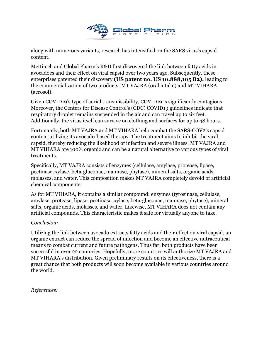

along with numerous variants, research has intensified on the SARS virus's capsid content.

Mettitech and Global Pharm's R&D first discovered the link between fatty acids in avocadoes and their effect on viral capsid over two years ago. Subsequently, these enterprises patented their discovery **(US patent no. US 10,888,105 B2),** leading to the commercialization of two products: MT VAJRA (oral intake) and MT VIHARA (aerosol).

Given COVID19's type of aerial transmissibility, COVID19 is significantly contagious. Moreover, the Centers for Disease Control's (CDC) COVID19 guidelines indicate that respiratory droplet remains suspended in the air and can travel up to six feet. Additionally, the virus itself can survive on clothing and surfaces for up to 48 hours.

Fortunately, both MT VAJRA and MT VIHARA help combat the SARS-COV2's capsid content utilizing its avocado-based therapy. The treatment aims to inhibit the viral capsid, thereby reducing the likelihood of infection and severe illness. MT VAJRA and MT VIHARA are 100% organic and can be a natural alternative to various types of viral treatments.

Specifically, MT VAJRA consists of enzymes (cellulase, amylase, protease, lipase, pectinase, xylase, beta-gluconae, mannase, phytase), mineral salts, organic acids, molasses, and water. This composition makes MT VAJRA completely devoid of artificial chemical components.

As for MT VIHARA, it contains a similar compound: enzymes (tyrosinase, cellulase, amylase, protease, lipase, pectinase, xylase, beta-gluconae, mannase, phytase), mineral salts, organic acids, molasses, and water. Likewise, MT VIHARA does not contain any artificial compounds. This characteristic makes it safe for virtually anyone to take.

## *Conclusion:*

Utilizing the link between avocado extracts fatty acids and their effect on viral capsid, an organic extract can reduce the spread of infection and become an effective nutraceutical means to combat current and future pathogens. Thus far, both products have been successful in over 22 countries. Hopefully, more countries will authorize MT VAJRA and MT VIHARA's distribution. Given preliminary results on its effectiveness, there is a great chance that both products will soon become available in various countries around the world.

*References:*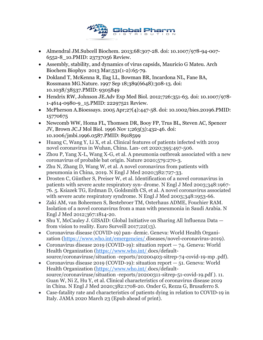

- Almendral JM.Subcell Biochem. 2013;68:307-28. doi: 10.1007/978-94-007- 6552-8\_10.PMID: 23737056 Review.
- Assembly, stability, and dynamics of virus capsids, Mauricio G Mateu. Arch Biochem Biophys 2013 Mar;531(1-2):65-79.
- Dokland T, McKenna R, Ilag LL, Bowman BR, Incardona NL, Fane BA, Rossmann MG.Nature. 1997 Sep 18;389(6648):308-13. doi: 10.1038/38537.PMID: 9305849
- Hendrix RW, Johnson JE.Adv Exp Med Biol. 2012;726:351-63. doi: 10.1007/978- 1-4614-0980-9\_15.PMID: 22297521 Review.
- McPherson A.Bioessays. 2005 Apr;27(4):447-58. doi: 10.1002/bies.20196.PMID: 15770675
- Newcomb WW, Homa FL, Thomsen DR, Booy FP, Trus BL, Steven AC, Spencer JV, Brown JC.J Mol Biol. 1996 Nov 1;263(3):432-46. doi: 10.1006/jmbi.1996.0587.PMID: 8918599
- Huang C, Wang Y, Li X, et al. Clinical features of patients infected with 2019 novel coronavirus in Wuhan, China. Lan- cet 2020;395:497-506.
- Zhou P, Yang X-L, Wang X-G, et al. A pneumonia outbreak associated with a new coronavirus of probable bat origin. Nature 2020;579:270-3.
- Zhu N, Zhang D, Wang W, et al. A novel coronavirus from patients with pneumonia in China, 2019. N Engl J Med 2020;382:727-33.
- Drosten C, Günther S, Preiser W, et al. Identification of a novel coronavirus in patients with severe acute respiratory syn- drome. N Engl J Med 2003;348:1967- 76. 5. Ksiazek TG, Erdman D, Goldsmith CS, et al. A novel coronavirus associated with severe acute respiratory syndrome. N Engl J Med 2003;348:1953-66.
- Zaki AM, van Boheemen S, Bestebroer TM, Osterhaus ADME, Fouchier RAM. Isolation of a novel coronavirus from a man with pneumonia in Saudi Arabia. N Engl J Med 2012;367:1814-20.
- Shu Y, McCauley J. GISAID: Global Initiative on Sharing All Influenza Data from vision to reality. Euro Surveill 2017;22(13).
- Coronavirus disease (COVID-19) pan- demic. Geneva: World Health Organization (https://www.who.int/emergencies/diseases/novel-coronavirus-2019).
- Coronavirus disease 2019 (COVID-19): situation report 74. Geneva: World Health Organization (https://www.who.int/ docs/defaultsource/coronaviruse/situation -reports/20200403-sitrep-74-covid-19-mp .pdf).
- Coronavirus disease 2019 (COVID-19): situation report 51. Geneva: World Health Organization (https://www.who.int/ docs/defaultsource/coronaviruse/situation -reports/20200311-sitrep-51-covid-19.pdf ). 11. Guan W, Ni Z, Hu Y, et al. Clinical characteristics of coronavirus disease 2019 in China. N Engl J Med 2020;382:1708-20. Onder G, Rezza G, Brusaferro S.
- Case-fatality rate and characteristics of patients dying in relation to COVID-19 in Italy. JAMA 2020 March 23 (Epub ahead of print).